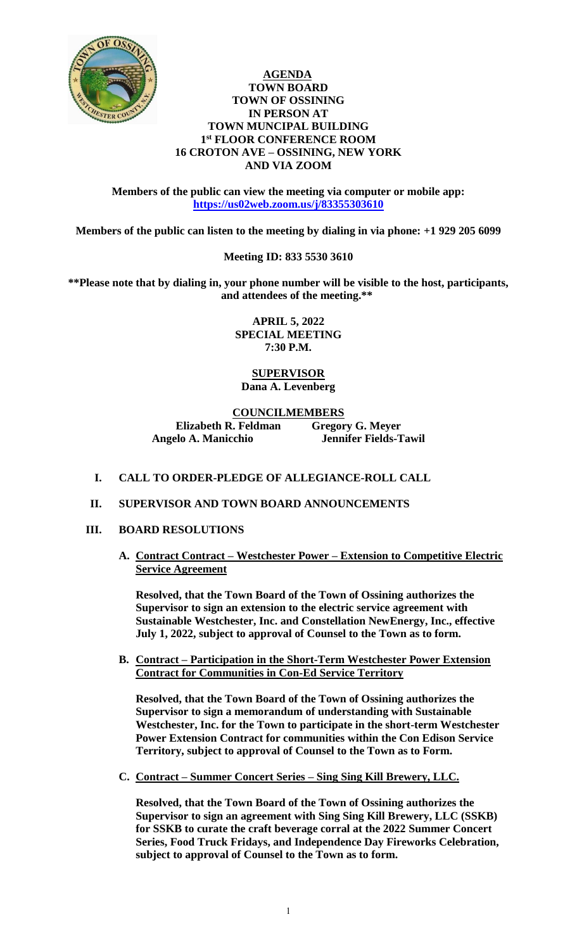

## **AGENDA TOWN BOARD TOWN OF OSSINING IN PERSON AT TOWN MUNCIPAL BUILDING 1 st FLOOR CONFERENCE ROOM 16 CROTON AVE – OSSINING, NEW YORK AND VIA ZOOM**

**Members of the public can view the meeting via computer or mobile app: <https://us02web.zoom.us/j/83355303610>**

**Members of the public can listen to the meeting by dialing in via phone: +1 929 205 6099** 

## **Meeting ID: 833 5530 3610**

**\*\*Please note that by dialing in, your phone number will be visible to the host, participants, and attendees of the meeting.\*\*** 

> **APRIL 5, 2022 SPECIAL MEETING 7:30 P.M.**

**SUPERVISOR Dana A. Levenberg**

## **COUNCILMEMBERS**

**Elizabeth R. Feldman Gregory G. Meyer Angelo A. Manicchio Jennifer Fields-Tawil**

- **I. CALL TO ORDER-PLEDGE OF ALLEGIANCE-ROLL CALL**
- **II. SUPERVISOR AND TOWN BOARD ANNOUNCEMENTS**
- **III. BOARD RESOLUTIONS**
	- **A. Contract Contract – Westchester Power – Extension to Competitive Electric Service Agreement**

**Resolved, that the Town Board of the Town of Ossining authorizes the Supervisor to sign an extension to the electric service agreement with Sustainable Westchester, Inc. and Constellation NewEnergy, Inc., effective July 1, 2022, subject to approval of Counsel to the Town as to form.** 

**B. Contract – Participation in the Short-Term Westchester Power Extension Contract for Communities in Con-Ed Service Territory**

**Resolved, that the Town Board of the Town of Ossining authorizes the Supervisor to sign a memorandum of understanding with Sustainable Westchester, Inc. for the Town to participate in the short-term Westchester Power Extension Contract for communities within the Con Edison Service Territory, subject to approval of Counsel to the Town as to Form.** 

**C. Contract – Summer Concert Series – Sing Sing Kill Brewery, LLC.**

**Resolved, that the Town Board of the Town of Ossining authorizes the Supervisor to sign an agreement with Sing Sing Kill Brewery, LLC (SSKB) for SSKB to curate the craft beverage corral at the 2022 Summer Concert Series, Food Truck Fridays, and Independence Day Fireworks Celebration, subject to approval of Counsel to the Town as to form.**